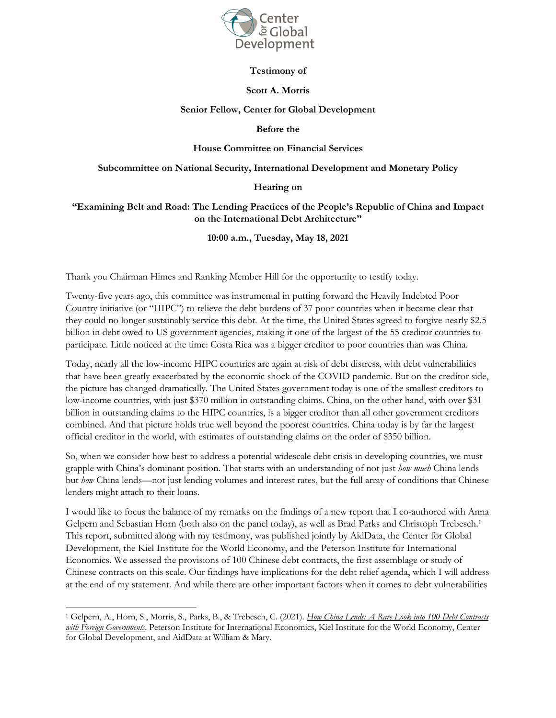

# **Testimony of**

#### **Scott A. Morris**

## **Senior Fellow, Center for Global Development**

### **Before the**

### **House Committee on Financial Services**

#### **Subcommittee on National Security, International Development and Monetary Policy**

# **Hearing on**

# **"Examining Belt and Road: The Lending Practices of the People's Republic of China and Impact on the International Debt Architecture"**

### **10:00 a.m., Tuesday, May 18, 2021**

Thank you Chairman Himes and Ranking Member Hill for the opportunity to testify today.

Twenty-five years ago, this committee was instrumental in putting forward the Heavily Indebted Poor Country initiative (or "HIPC") to relieve the debt burdens of 37 poor countries when it became clear that they could no longer sustainably service this debt. At the time, the United States agreed to forgive nearly \$2.5 billion in debt owed to US government agencies, making it one of the largest of the 55 creditor countries to participate. Little noticed at the time: Costa Rica was a bigger creditor to poor countries than was China.

Today, nearly all the low-income HIPC countries are again at risk of debt distress, with debt vulnerabilities that have been greatly exacerbated by the economic shock of the COVID pandemic. But on the creditor side, the picture has changed dramatically. The United States government today is one of the smallest creditors to low-income countries, with just \$370 million in outstanding claims. China, on the other hand, with over \$31 billion in outstanding claims to the HIPC countries, is a bigger creditor than all other government creditors combined. And that picture holds true well beyond the poorest countries. China today is by far the largest official creditor in the world, with estimates of outstanding claims on the order of \$350 billion.

So, when we consider how best to address a potential widescale debt crisis in developing countries, we must grapple with China's dominant position. That starts with an understanding of not just *how much* China lends but *how* China lends—not just lending volumes and interest rates, but the full array of conditions that Chinese lenders might attach to their loans.

I would like to focus the balance of my remarks on the findings of a new report that I co-authored with Anna Gelpern and Sebastian Horn (both also on the panel today), as well as Brad Parks and Christoph Trebesch.<sup>1</sup> This report, submitted along with my testimony, was published jointly by AidData, the Center for Global Development, the Kiel Institute for the World Economy, and the Peterson Institute for International Economics. We assessed the provisions of 100 Chinese debt contracts, the first assemblage or study of Chinese contracts on this scale. Our findings have implications for the debt relief agenda, which I will address at the end of my statement. And while there are other important factors when it comes to debt vulnerabilities

<sup>1</sup> Gelpern, A., Horn, S., Morris, S., Parks, B., & Trebesch, C. (2021). *How China Lends: A Rare Look into 100 Debt Contracts with Foreign Governments*. Peterson Institute for International Economics, Kiel Institute for the World Economy, Center for Global Development, and AidData at William & Mary.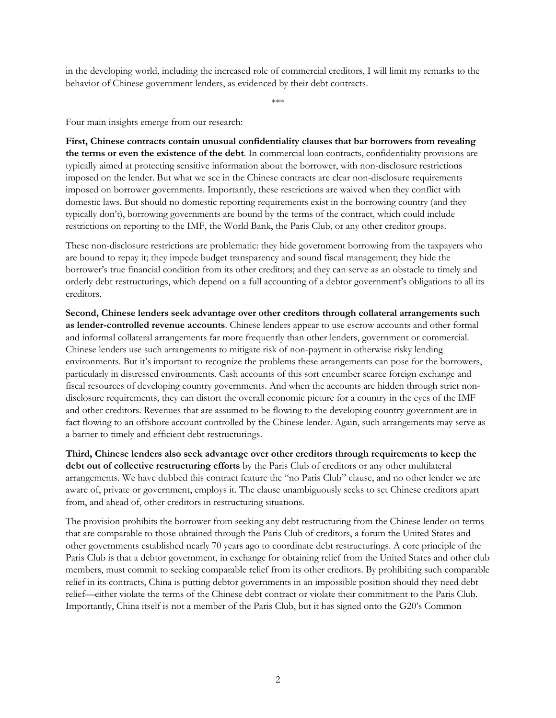in the developing world, including the increased role of commercial creditors, I will limit my remarks to the behavior of Chinese government lenders, as evidenced by their debt contracts.

\*\*\*

Four main insights emerge from our research:

**First, Chinese contracts contain unusual confidentiality clauses that bar borrowers from revealing the terms or even the existence of the debt**. In commercial loan contracts, confidentiality provisions are typically aimed at protecting sensitive information about the borrower, with non-disclosure restrictions imposed on the lender. But what we see in the Chinese contracts are clear non-disclosure requirements imposed on borrower governments. Importantly, these restrictions are waived when they conflict with domestic laws. But should no domestic reporting requirements exist in the borrowing country (and they typically don't), borrowing governments are bound by the terms of the contract, which could include restrictions on reporting to the IMF, the World Bank, the Paris Club, or any other creditor groups.

These non-disclosure restrictions are problematic: they hide government borrowing from the taxpayers who are bound to repay it; they impede budget transparency and sound fiscal management; they hide the borrower's true financial condition from its other creditors; and they can serve as an obstacle to timely and orderly debt restructurings, which depend on a full accounting of a debtor government's obligations to all its creditors.

**Second, Chinese lenders seek advantage over other creditors through collateral arrangements such as lender-controlled revenue accounts**. Chinese lenders appear to use escrow accounts and other formal and informal collateral arrangements far more frequently than other lenders, government or commercial. Chinese lenders use such arrangements to mitigate risk of non-payment in otherwise risky lending environments. But it's important to recognize the problems these arrangements can pose for the borrowers, particularly in distressed environments. Cash accounts of this sort encumber scarce foreign exchange and fiscal resources of developing country governments. And when the accounts are hidden through strict nondisclosure requirements, they can distort the overall economic picture for a country in the eyes of the IMF and other creditors. Revenues that are assumed to be flowing to the developing country government are in fact flowing to an offshore account controlled by the Chinese lender. Again, such arrangements may serve as a barrier to timely and efficient debt restructurings.

**Third, Chinese lenders also seek advantage over other creditors through requirements to keep the debt out of collective restructuring efforts** by the Paris Club of creditors or any other multilateral arrangements. We have dubbed this contract feature the "no Paris Club" clause, and no other lender we are aware of, private or government, employs it. The clause unambiguously seeks to set Chinese creditors apart from, and ahead of, other creditors in restructuring situations.

The provision prohibits the borrower from seeking any debt restructuring from the Chinese lender on terms that are comparable to those obtained through the Paris Club of creditors, a forum the United States and other governments established nearly 70 years ago to coordinate debt restructurings. A core principle of the Paris Club is that a debtor government, in exchange for obtaining relief from the United States and other club members, must commit to seeking comparable relief from its other creditors. By prohibiting such comparable relief in its contracts, China is putting debtor governments in an impossible position should they need debt relief—either violate the terms of the Chinese debt contract or violate their commitment to the Paris Club. Importantly, China itself is not a member of the Paris Club, but it has signed onto the G20's Common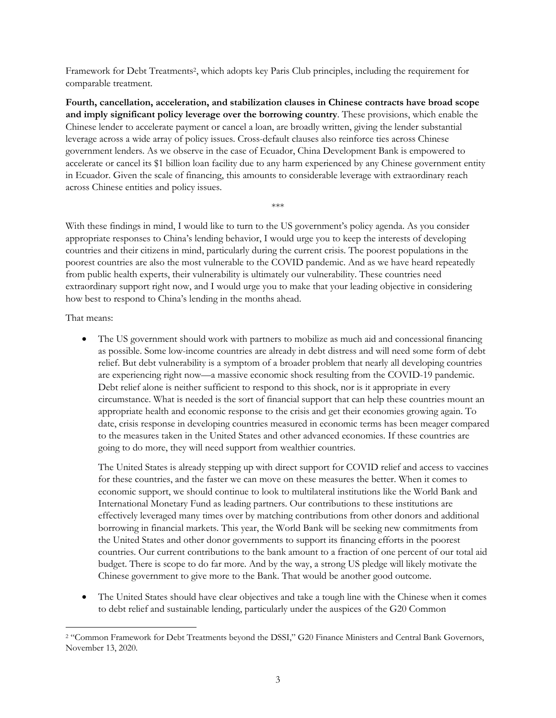Framework for Debt Treatments2, which adopts key Paris Club principles, including the requirement for comparable treatment.

**Fourth, cancellation, acceleration, and stabilization clauses in Chinese contracts have broad scope and imply significant policy leverage over the borrowing country**. These provisions, which enable the Chinese lender to accelerate payment or cancel a loan, are broadly written, giving the lender substantial leverage across a wide array of policy issues. Cross-default clauses also reinforce ties across Chinese government lenders. As we observe in the case of Ecuador, China Development Bank is empowered to accelerate or cancel its \$1 billion loan facility due to any harm experienced by any Chinese government entity in Ecuador. Given the scale of financing, this amounts to considerable leverage with extraordinary reach across Chinese entities and policy issues.

\*\*\*

With these findings in mind, I would like to turn to the US government's policy agenda. As you consider appropriate responses to China's lending behavior, I would urge you to keep the interests of developing countries and their citizens in mind, particularly during the current crisis. The poorest populations in the poorest countries are also the most vulnerable to the COVID pandemic. And as we have heard repeatedly from public health experts, their vulnerability is ultimately our vulnerability. These countries need extraordinary support right now, and I would urge you to make that your leading objective in considering how best to respond to China's lending in the months ahead.

That means:

• The US government should work with partners to mobilize as much aid and concessional financing as possible. Some low-income countries are already in debt distress and will need some form of debt relief. But debt vulnerability is a symptom of a broader problem that nearly all developing countries are experiencing right now—a massive economic shock resulting from the COVID-19 pandemic. Debt relief alone is neither sufficient to respond to this shock, nor is it appropriate in every circumstance. What is needed is the sort of financial support that can help these countries mount an appropriate health and economic response to the crisis and get their economies growing again. To date, crisis response in developing countries measured in economic terms has been meager compared to the measures taken in the United States and other advanced economies. If these countries are going to do more, they will need support from wealthier countries.

The United States is already stepping up with direct support for COVID relief and access to vaccines for these countries, and the faster we can move on these measures the better. When it comes to economic support, we should continue to look to multilateral institutions like the World Bank and International Monetary Fund as leading partners. Our contributions to these institutions are effectively leveraged many times over by matching contributions from other donors and additional borrowing in financial markets. This year, the World Bank will be seeking new commitments from the United States and other donor governments to support its financing efforts in the poorest countries. Our current contributions to the bank amount to a fraction of one percent of our total aid budget. There is scope to do far more. And by the way, a strong US pledge will likely motivate the Chinese government to give more to the Bank. That would be another good outcome.

The United States should have clear objectives and take a tough line with the Chinese when it comes to debt relief and sustainable lending, particularly under the auspices of the G20 Common

<sup>2</sup> "Common Framework for Debt Treatments beyond the DSSI," G20 Finance Ministers and Central Bank Governors, November 13, 2020.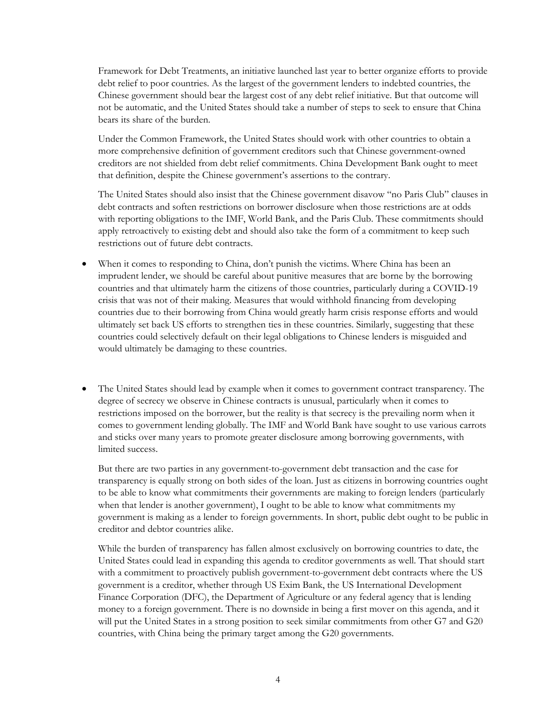Framework for Debt Treatments, an initiative launched last year to better organize efforts to provide debt relief to poor countries. As the largest of the government lenders to indebted countries, the Chinese government should bear the largest cost of any debt relief initiative. But that outcome will not be automatic, and the United States should take a number of steps to seek to ensure that China bears its share of the burden.

Under the Common Framework, the United States should work with other countries to obtain a more comprehensive definition of government creditors such that Chinese government-owned creditors are not shielded from debt relief commitments. China Development Bank ought to meet that definition, despite the Chinese government's assertions to the contrary.

The United States should also insist that the Chinese government disavow "no Paris Club" clauses in debt contracts and soften restrictions on borrower disclosure when those restrictions are at odds with reporting obligations to the IMF, World Bank, and the Paris Club. These commitments should apply retroactively to existing debt and should also take the form of a commitment to keep such restrictions out of future debt contracts.

- When it comes to responding to China, don't punish the victims. Where China has been an imprudent lender, we should be careful about punitive measures that are borne by the borrowing countries and that ultimately harm the citizens of those countries, particularly during a COVID-19 crisis that was not of their making. Measures that would withhold financing from developing countries due to their borrowing from China would greatly harm crisis response efforts and would ultimately set back US efforts to strengthen ties in these countries. Similarly, suggesting that these countries could selectively default on their legal obligations to Chinese lenders is misguided and would ultimately be damaging to these countries.
- The United States should lead by example when it comes to government contract transparency. The degree of secrecy we observe in Chinese contracts is unusual, particularly when it comes to restrictions imposed on the borrower, but the reality is that secrecy is the prevailing norm when it comes to government lending globally. The IMF and World Bank have sought to use various carrots and sticks over many years to promote greater disclosure among borrowing governments, with limited success.

But there are two parties in any government-to-government debt transaction and the case for transparency is equally strong on both sides of the loan. Just as citizens in borrowing countries ought to be able to know what commitments their governments are making to foreign lenders (particularly when that lender is another government), I ought to be able to know what commitments my government is making as a lender to foreign governments. In short, public debt ought to be public in creditor and debtor countries alike.

While the burden of transparency has fallen almost exclusively on borrowing countries to date, the United States could lead in expanding this agenda to creditor governments as well. That should start with a commitment to proactively publish government-to-government debt contracts where the US government is a creditor, whether through US Exim Bank, the US International Development Finance Corporation (DFC), the Department of Agriculture or any federal agency that is lending money to a foreign government. There is no downside in being a first mover on this agenda, and it will put the United States in a strong position to seek similar commitments from other G7 and G20 countries, with China being the primary target among the G20 governments.